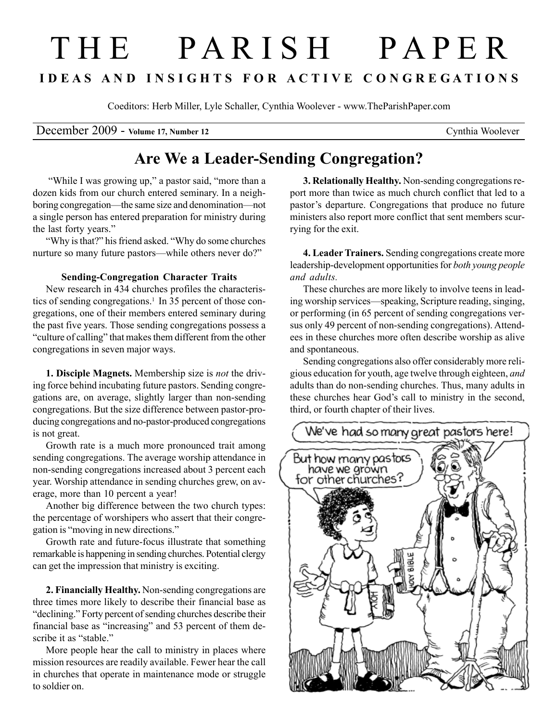# T H E P A R I S H P A P E R I D E A S A N D I N S I G H T S F O R A C T I V E C O N G R E G A T I O N S

Coeditors: Herb Miller, Lyle Schaller, Cynthia Woolever - www.TheParishPaper.com

December 2009 - Volume 17, Number 12 Cynthia Woolever

## Are We a Leader-Sending Congregation?

"While I was growing up," a pastor said, "more than a dozen kids from our church entered seminary. In a neighboring congregation—the same size and denomination—not a single person has entered preparation for ministry during the last forty years."

"Why is that?" his friend asked. "Why do some churches nurture so many future pastors—while others never do?"

### Sending-Congregation Character Traits

New research in 434 churches profiles the characteristics of sending congregations.<sup>1</sup> In 35 percent of those congregations, one of their members entered seminary during the past five years. Those sending congregations possess a "culture of calling" that makes them different from the other congregations in seven major ways.

1. Disciple Magnets. Membership size is not the driving force behind incubating future pastors. Sending congregations are, on average, slightly larger than non-sending congregations. But the size difference between pastor-producing congregations and no-pastor-produced congregations is not great.

Growth rate is a much more pronounced trait among sending congregations. The average worship attendance in non-sending congregations increased about 3 percent each year. Worship attendance in sending churches grew, on average, more than 10 percent a year!

Another big difference between the two church types: the percentage of worshipers who assert that their congregation is "moving in new directions."

Growth rate and future-focus illustrate that something remarkable is happening in sending churches. Potential clergy can get the impression that ministry is exciting.

2. Financially Healthy. Non-sending congregations are three times more likely to describe their financial base as "declining." Forty percent of sending churches describe their financial base as "increasing" and 53 percent of them describe it as "stable."

More people hear the call to ministry in places where mission resources are readily available. Fewer hear the call in churches that operate in maintenance mode or struggle to soldier on.

3. Relationally Healthy. Non-sending congregations report more than twice as much church conflict that led to a pastor's departure. Congregations that produce no future ministers also report more conflict that sent members scurrying for the exit.

4. Leader Trainers. Sending congregations create more leadership-development opportunities for both young people and adults.

These churches are more likely to involve teens in leading worship services—speaking, Scripture reading, singing, or performing (in 65 percent of sending congregations versus only 49 percent of non-sending congregations). Attendees in these churches more often describe worship as alive and spontaneous.

Sending congregations also offer considerably more religious education for youth, age twelve through eighteen, and adults than do non-sending churches. Thus, many adults in these churches hear God's call to ministry in the second, third, or fourth chapter of their lives.